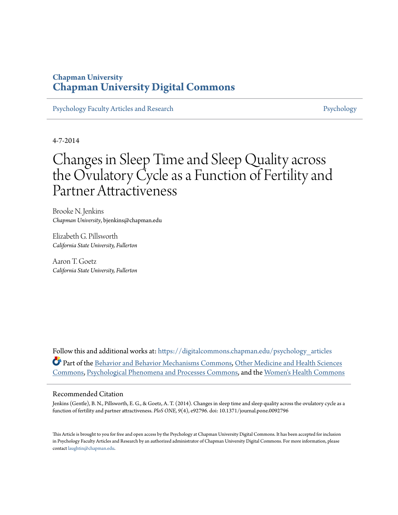# **Chapman University [Chapman University Digital Commons](https://digitalcommons.chapman.edu?utm_source=digitalcommons.chapman.edu%2Fpsychology_articles%2F117&utm_medium=PDF&utm_campaign=PDFCoverPages)**

[Psychology Faculty Articles and Research](https://digitalcommons.chapman.edu/psychology_articles?utm_source=digitalcommons.chapman.edu%2Fpsychology_articles%2F117&utm_medium=PDF&utm_campaign=PDFCoverPages) **[Psychology](https://digitalcommons.chapman.edu/psychology?utm_source=digitalcommons.chapman.edu%2Fpsychology_articles%2F117&utm_medium=PDF&utm_campaign=PDFCoverPages)** 

4-7-2014

# Changes in Sleep Time and Sleep Quality across the Ovulatory Cycle as a Function of Fertility and Partner Attractiveness

Brooke N. Jenkins *Chapman University*, bjenkins@chapman.edu

Elizabeth G. Pillsworth *California State University, Fullerton*

Aaron T. Goetz *California State University, Fullerton*

Follow this and additional works at: [https://digitalcommons.chapman.edu/psychology\\_articles](https://digitalcommons.chapman.edu/psychology_articles?utm_source=digitalcommons.chapman.edu%2Fpsychology_articles%2F117&utm_medium=PDF&utm_campaign=PDFCoverPages) Part of the [Behavior and Behavior Mechanisms Commons,](http://network.bepress.com/hgg/discipline/963?utm_source=digitalcommons.chapman.edu%2Fpsychology_articles%2F117&utm_medium=PDF&utm_campaign=PDFCoverPages) [Other Medicine and Health Sciences](http://network.bepress.com/hgg/discipline/772?utm_source=digitalcommons.chapman.edu%2Fpsychology_articles%2F117&utm_medium=PDF&utm_campaign=PDFCoverPages) [Commons,](http://network.bepress.com/hgg/discipline/772?utm_source=digitalcommons.chapman.edu%2Fpsychology_articles%2F117&utm_medium=PDF&utm_campaign=PDFCoverPages) [Psychological Phenomena and Processes Commons](http://network.bepress.com/hgg/discipline/914?utm_source=digitalcommons.chapman.edu%2Fpsychology_articles%2F117&utm_medium=PDF&utm_campaign=PDFCoverPages), and the [Women's Health Commons](http://network.bepress.com/hgg/discipline/1241?utm_source=digitalcommons.chapman.edu%2Fpsychology_articles%2F117&utm_medium=PDF&utm_campaign=PDFCoverPages)

# Recommended Citation

Jenkins (Gentle), B. N., Pillsworth, E. G., & Goetz, A. T. (2014). Changes in sleep time and sleep quality across the ovulatory cycle as a function of fertility and partner attractiveness. *PloS ONE, 9*(4), e92796. doi: 10.1371/journal.pone.0092796

This Article is brought to you for free and open access by the Psychology at Chapman University Digital Commons. It has been accepted for inclusion in Psychology Faculty Articles and Research by an authorized administrator of Chapman University Digital Commons. For more information, please contact [laughtin@chapman.edu](mailto:laughtin@chapman.edu).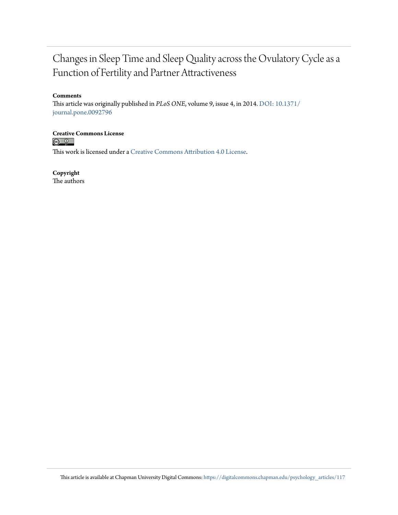# Changes in Sleep Time and Sleep Quality across the Ovulatory Cycle as a Function of Fertility and Partner Attractiveness

# **Comments**

This article was originally published in *PLoS ONE*, volume 9, issue 4, in 2014. [DOI: 10.1371/](https://doi.org/10.1371/journal.pone.0092796) [journal.pone.0092796](https://doi.org/10.1371/journal.pone.0092796)

**Creative Commons License**<br> **C Q Q** 

This work is licensed under a [Creative Commons Attribution 4.0 License.](https://creativecommons.org/licenses/by/4.0/)

**Copyright**

The authors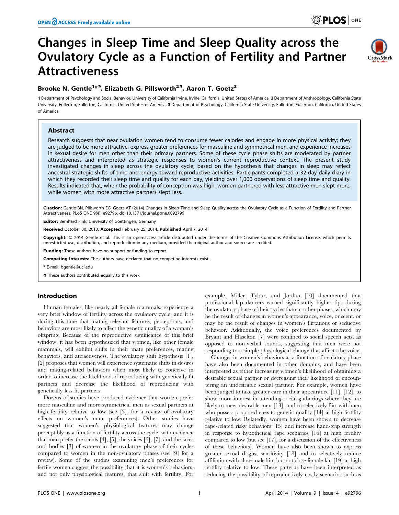# OPEN @ ACCESS Freely available online

# Changes in Sleep Time and Sleep Quality across the Ovulatory Cycle as a Function of Fertility and Partner Attractiveness



# Brooke N. Gentle<sup>1\*</sup>, Elizabeth G. Pillsworth<sup>29</sup>, Aaron T. Goetz<sup>3</sup>

1 Department of Psychology and Social Behavior, University of California Irvine, Irvine, California, United States of America, 2Department of Anthropology, California State University, Fullerton, Fullerton, California, United States of America, 3 Department of Psychology, California State University, Fullerton, Fullerton, California, United States of America

## Abstract

Research suggests that near ovulation women tend to consume fewer calories and engage in more physical activity; they are judged to be more attractive, express greater preferences for masculine and symmetrical men, and experience increases in sexual desire for men other than their primary partners. Some of these cycle phase shifts are moderated by partner attractiveness and interpreted as strategic responses to women's current reproductive context. The present study investigated changes in sleep across the ovulatory cycle, based on the hypothesis that changes in sleep may reflect ancestral strategic shifts of time and energy toward reproductive activities. Participants completed a 32-day daily diary in which they recorded their sleep time and quality for each day, yielding over 1,000 observations of sleep time and quality. Results indicated that, when the probability of conception was high, women partnered with less attractive men slept more, while women with more attractive partners slept less.

Citation: Gentle BN, Pillsworth EG, Goetz AT (2014) Changes in Sleep Time and Sleep Quality across the Ovulatory Cycle as a Function of Fertility and Partner Attractiveness. PLoS ONE 9(4): e92796. doi:10.1371/journal.pone.0092796

Editor: Bernhard Fink, University of Goettingen, Germany

Received October 30, 2013; Accepted February 25, 2014; Published April 7, 2014

Copyright: © 2014 Gentle et al. This is an open-access article distributed under the terms of the [Creative Commons Attribution License](http://creativecommons.org/licenses/by/4.0/), which permits unrestricted use, distribution, and reproduction in any medium, provided the original author and source are credited.

Funding: These authors have no support or funding to report.

Competing Interests: The authors have declared that no competing interests exist.

\* E-mail: bgentle@uci.edu

. These authors contributed equally to this work.

### Introduction

Human females, like nearly all female mammals, experience a very brief window of fertility across the ovulatory cycle, and it is during this time that mating relevant features, perceptions, and behaviors are most likely to affect the genetic quality of a woman's offspring. Because of the reproductive significance of this brief window, it has been hypothesized that women, like other female mammals, will exhibit shifts in their mate preferences, mating behaviors, and attractiveness. The ovulatory shift hypothesis [1], [2] proposes that women will experience systematic shifts in desires and mating-related behaviors when most likely to conceive in order to increase the likelihood of reproducing with genetically fit partners and decrease the likelihood of reproducing with genetically less fit partners.

Dozens of studies have produced evidence that women prefer more masculine and more symmetrical men as sexual partners at high fertility relative to low (see [3], for a review of ovulatory effects on women's mate preferences). Other studies have suggested that women's physiological features may change perceptibly as a function of fertility across the cycle, with evidence that men prefer the scents [4], [5], the voices [6], [7], and the faces and bodies [8] of women in the ovulatory phase of their cycles compared to women in the non-ovulatory phases (see [9] for a review). Some of the studies examining men's preferences for fertile women suggest the possibility that it is women's behaviors, and not only physiological features, that shift with fertility. For

example, Miller, Tybur, and Jordan [10] documented that professional lap dancers earned significantly higher tips during the ovulatory phase of their cycles than at other phases, which may be the result of changes in women's appearance, voice, or scent, or may be the result of changes in women's flirtatious or seductive behavior. Additionally, the voice preferences documented by Bryant and Haselton [7] were confined to social speech acts, as opposed to non-verbal sounds, suggesting that men were not responding to a simple physiological change that affects the voice.

Changes in women's behaviors as a function of ovulatory phase have also been documented in other domains, and have been interpreted as either increasing women's likelihood of obtaining a desirable sexual partner or decreasing their likelihood of encountering an undesirable sexual partner. For example, women have been judged to take greater care in their appearance [11], [12], to show more interest in attending social gatherings where they are likely to meet desirable men [13], and to selectively flirt with men who possess proposed cues to genetic quality [14] at high fertility relative to low. Relatedly, women have been shown to decrease rape-related risky behaviors [15] and increase hand-grip strength in response to hypothetical rape scenarios [16] at high fertility compared to low (but see [17], for a discussion of the effectiveness of these behaviors). Women have also been shown to express greater sexual disgust sensitivity [18] and to selectively reduce affiliation with close male kin, but not close female kin [19] at high fertility relative to low. These patterns have been interpreted as reducing the possibility of reproductively costly scenarios such as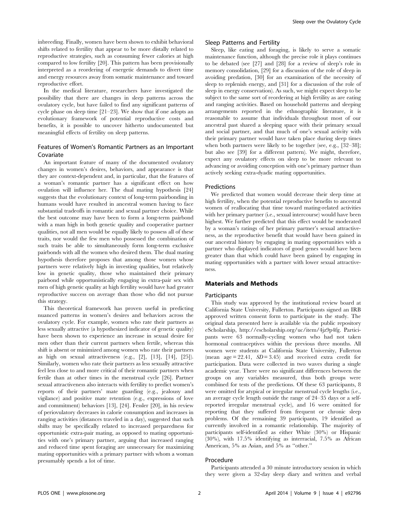inbreeding. Finally, women have been shown to exhibit behavioral shifts related to fertility that appear to be more distally related to reproductive strategies, such as consuming fewer calories at high compared to low fertility [20]. This pattern has been provisionally interpreted as a reordering of energetic demands to divert time and energy resources away from somatic maintenance and toward reproductive effort.

In the medical literature, researchers have investigated the possibility that there are changes in sleep patterns across the ovulatory cycle, but have failed to find any significant patterns of cycle phase on sleep time [21–23]. We show that if one adopts an evolutionary framework of potential reproductive costs and benefits, it is possible to uncover hitherto undocumented but meaningful effects of fertility on sleep patterns.

## Features of Women's Romantic Partners as an Important Covariate

An important feature of many of the documented ovulatory changes in women's desires, behaviors, and appearance is that they are context-dependent and, in particular, that the features of a woman's romantic partner has a significant effect on how ovulation will influence her. The dual mating hypothesis [24] suggests that the evolutionary context of long-term pairbonding in humans would have resulted in ancestral women having to face substantial tradeoffs in romantic and sexual partner choice. While the best outcome may have been to form a long-term pairbond with a man high in both genetic quality and cooperative partner qualities, not all men would be equally likely to possess all of these traits, nor would the few men who possessed the combination of such traits be able to simultaneously form long-term exclusive pairbonds with all the women who desired them. The dual mating hypothesis therefore proposes that among those women whose partners were relatively high in investing qualities, but relatively low in genetic quality, those who maintained their primary pairbond while opportunistically engaging in extra-pair sex with men of high genetic quality at high fertility would have had greater reproductive success on average than those who did not pursue this strategy.

This theoretical framework has proven useful in predicting nuanced patterns in women's desires and behaviors across the ovulatory cycle. For example, women who rate their partners as less sexually attractive (a hypothesized indicator of genetic quality) have been shown to experience an increase in sexual desire for men other than their current partners when fertile, whereas this shift is absent or minimized among women who rate their partners as high on sexual attractiveness (e.g., [2], [13], [14], [25]). Similarly, women who rate their partners as less sexually attractive feel less close to and more critical of their romantic partners when fertile than at other times in the menstrual cycle [26]. Partner sexual attractiveness also interacts with fertility to predict women's reports of their partners' mate guarding (e.g., jealousy and vigilance) and positive mate retention (e.g., expressions of love and commitment) behaviors [13], [24]. Fessler [20], in his review of periovulatory decreases in calorie consumption and increases in ranging activities (distances traveled in a day), suggested that such shifts may be specifically related to increased preparedness for opportunistic extra-pair mating, as opposed to mating opportunities with one's primary partner, arguing that increased ranging and reduced time spent foraging are unnecessary for maximizing mating opportunities with a primary partner with whom a woman presumably spends a lot of time.

### Sleep Patterns and Fertility

Sleep, like eating and foraging, is likely to serve a somatic maintenance function, although the precise role it plays continues to be debated (see [27] and [28] for a review of sleep's role in memory consolidation, [29] for a discussion of the role of sleep in avoiding predation, [30] for an examination of the necessity of sleep to replenish energy, and [31] for a discussion of the role of sleep in energy conservation). As such, we might expect sleep to be subject to the same sort of reordering at high fertility as are eating and ranging activities. Based on household patterns and sleeping arrangements reported in the ethnographic literature, it is reasonable to assume that individuals throughout most of our ancestral past shared a sleeping space with their primary sexual and social partner, and that much of one's sexual activity with their primary partner would have taken place during sleep times when both partners were likely to be together (see, e.g., [32–38]; but also see [39] for a different pattern). We might, therefore, expect any ovulatory effects on sleep to be more relevant to advancing or avoiding conception with one's primary partner than actively seeking extra-dyadic mating opportunities.

### Predictions

We predicted that women would decrease their sleep time at high fertility, when the potential reproductive benefits to ancestral women of reallocating that time toward mating-related activities with her primary partner (i.e., sexual intercourse) would have been highest. We further predicted that this effect would be moderated by a woman's ratings of her primary partner's sexual attractiveness, as the reproductive benefit that would have been gained in our ancestral history by engaging in mating opportunities with a partner who displayed indicators of good genes would have been greater than that which could have been gained by engaging in mating opportunities with a partner with lower sexual attractiveness.

### Materials and Methods

#### **Participants**

This study was approved by the institutional review board at California State University, Fullerton. Participants signed an IRB approved written consent form to participate in the study. The original data presented here is available via the public repository eScholarship, [http://escholarship.org/uc/item/4jz9p4fg.](http://www.datadryad.org/) Participants were 63 normally-cycling women who had not taken hormonal contraceptives within the previous three months. All women were students at California State University, Fullerton (mean age = 22.41,  $SD = 3.45$ ) and received extra credit for participation. Data were collected in two waves during a single academic year. There were no significant differences between the groups on any variables measured, thus both groups were combined for tests of the predictions. Of these 63 participants, 8 were omitted for atypical or irregular menstrual cycle lengths (i.e., an average cycle length outside the range of 24–35 days or a selfreported irregular menstrual cycle), and 16 were omitted for reporting that they suffered from frequent or chronic sleep problems. Of the remaining 39 participants, 19 identified as currently involved in a romantic relationship. The majority of participants self-identified as either White (30%) or Hispanic (30%), with 17.5% identifying as interracial, 7.5% as African American, 5% as Asian, and 5% as ''other.''

### Procedure

Participants attended a 30 minute introductory session in which they were given a 32-day sleep diary and written and verbal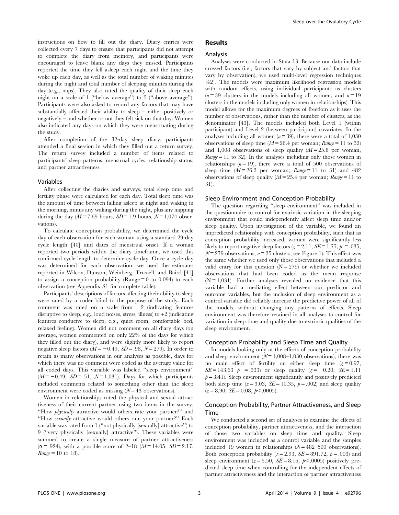instructions on how to fill out the diary. Diary entries were collected every 7 days to ensure that participants did not attempt to complete the diary from memory, and participants were encouraged to leave blank any days they missed. Participants reported the time they fell asleep each night and the time they woke up each day, as well as the total number of waking minutes during the night and total number of sleeping minutes during the day (e.g., naps). They also rated the quality of their sleep each night on a scale of 1 (''below average'') to 5 (''above average''). Participants were also asked to record any factors that may have substantially affected their ability to sleep – either positively or negatively – and whether or not they felt sick on that day. Women also indicated any days on which they were menstruating during the study.

After completion of the 32-day sleep diary, participants attended a final session in which they filled out a return survey. The return survey included a number of items related to participants' sleep patterns, menstrual cycles, relationship status, and partner attractiveness.

### Variables

After collecting the diaries and surveys, total sleep time and fertility phase were calculated for each day. Total sleep time was the amount of time between falling asleep at night and waking in the morning, minus any waking during the night, plus any napping during the day  $(M = 7.69$  hours,  $SD = 1.9$  hours,  $N = 1,074$  observations).

To calculate conception probability, we determined the cycle day of each observation for each woman using a standard 29-day cycle length [40] and dates of menstrual onset. If a woman reported two periods within the diary timeframe, we used this confirmed cycle length to determine cycle day. Once a cycle day was determined for each observation, we used the estimates reported in Wilcox, Dunson, Weinberg, Trussell, and Baird [41] to assign a conception probability (Range  $= 0$  to 0.094) to each observation (see Appendix S1 for complete table).

Participants' descriptions of factors affecting their ability to sleep were rated by a coder blind to the purpose of the study. Each comment was rated on a scale from  $-2$  (indicating features disruptive to sleep, e.g., loud noises, stress, illness) to +2 (indicating features conducive to sleep, e.g., quiet room, comfortable bed, relaxed feeling). Women did not comment on all diary days (on average, women commented on only 22% of the days for which they filled out the diary), and were slightly more likely to report negative sleep factors  $(M = -0.49, SD = .98, N = 279)$ . In order to retain as many observations in our analyses as possible, days for which there was no comment were coded as the average value for all coded days. This variable was labeled ''sleep environment''  $(M = -0.49, SD = .51, N = 1,031)$ . Days for which participants included comments related to something other than the sleep environment were coded as missing  $(N=43)$  observations).

Women in relationships rated the physical and sexual attractiveness of their current partner using two items in the survey, ''How physically attractive would others rate your partner?'' and ''How sexually attractive would others rate your partner?'' Each variable was rated from 1 (''not physically [sexually] attractive'') to 9 (''very physically [sexually] attractive''). These variables were summed to create a single measure of partner attractiveness  $(\alpha = .924)$ , with a possible score of 2–18 (M = 14.05, SD = 2.17,  $Range = 10$  to 18).

# Results

### Analysis

Analyses were conducted in Stata 13. Because our data include crossed factors (i.e., factors that vary by subject and factors that vary by observation), we used multi-level regression techniques [42]. The models were maximum likelihood regression models with random effects, using individual participants as clusters  $(n=39$  clusters in the models including all women, and  $n=19$ clusters in the models including only women in relationships). This model allows for the maximum degrees of freedom as it uses the number of observations, rather than the number of clusters, as the denominator [43]. The models included both Level 1 (within participant) and Level 2 (between participant) covariates. In the analyses including all women  $(n = 39)$ , there were a total of 1,030 observations of sleep time ( $M = 26.4$  per woman;  $Range = 11$  to 32) and 1,008 observations of sleep quality  $(M = 25.8$  per woman,  $Range = 11$  to 32). In the analyses including only those women in relationships  $(n=19)$ , there were a total of 500 observations of sleep time  $(M=26.3$  per woman;  $Range=11$  to 31) and 482 observations of sleep quality ( $M = 25.4$  per woman;  $Range = 11$  to 31).

#### Sleep Environment and Conception Probability

The question regarding ''sleep environment'' was included in the questionnaire to control for extrinsic variation in the sleeping environment that could independently affect sleep time and/or sleep quality. Upon investigation of the variable, we found an unpredicted relationship with conception probability, such that as conception probability increased, women were significantly less likely to report negative sleep factors ( $z = 2.11$ ,  $SE = 1.77$ ,  $p = .035$ ,  $N = 279$  observations,  $n = 35$  clusters, see Figure 1). This effect was the same whether we used only those observations that included a valid entry for this question  $(N = 279)$  or whether we included observations that had been coded as the mean response  $(N = 1,031)$ . Further analyses revealed no evidence that this variable had a mediating effect between our predictor and outcome variables, but the inclusion of sleep environment as a control variable did reliably increase the predictive power of all of the models, without changing any patterns of effects. Sleep environment was therefore retained in all analyses to control for variation in sleep time and quality due to extrinsic qualities of the sleep environment.

#### Conception Probability and Sleep Time and Quality

In models looking only at the effects of conception probability and sleep environment  $(N=1,008-1,030)$  observations), there was no main effect of fertility on either sleep time  $(z=0.97,$  $SE = 143.63$   $p = .333$  or sleep quality ( $z = -0.20$ ,  $SE = 1.11$  $p=$  .841). Sleep environment significantly and positively predicted both sleep time ( $z = 3.03$ ,  $SE = 10.35$ ,  $p = .002$ ) and sleep quality  $(z = 8.90, \, SE = 0.08, \, \rho \leq 0.0005).$ 

# Conception Probability, Partner Attractiveness, and Sleep Time

We conducted a second set of analyses to examine the effects of conception probability, partner attractiveness, and the interaction of those two variables on sleep time and quality. Sleep environment was included as a control variable and the samples included 19 women in relationships  $(N= 482-500)$  observations). Both conception probability ( $z = 2.93$ ,  $SE = 891.72$ ,  $p = .003$ ) and sleep environment ( $z = 5.50$ ,  $SE = 8.16$ ,  $p<.0005$ ) positively predicted sleep time when controlling for the independent effects of partner attractiveness and the interaction of partner attractiveness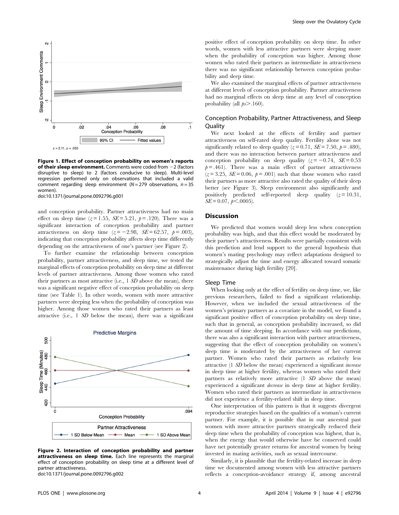

Figure 1. Effect of conception probability on women's reports of their sleep environment. Comments were coded from  $-2$  (factors disruptive to sleep) to 2 (factors conducive to sleep). Multi-level regression performed only on observations that included a valid comment regarding sleep environment ( $N = 279$  observations,  $n = 35$ women).

doi:10.1371/journal.pone.0092796.g001

and conception probability. Partner attractiveness had no main effect on sleep time ( $z = 1.55$ ,  $SE = 5.21$ ,  $p = .120$ ). There was a significant interaction of conception probability and partner attractiveness on sleep time ( $z = -2.98$ ,  $SE = 62.57$ ,  $p = .003$ ), indicating that conception probability affects sleep time differently depending on the attractiveness of one's partner (see Figure 2).

To further examine the relationship between conception probability, partner attractiveness, and sleep time, we tested the marginal effects of conception probability on sleep time at different levels of partner attractiveness. Among those women who rated their partners as most attractive (i.e.,  $1 SD$  above the mean), there was a significant negative effect of conception probability on sleep time (see Table 1). In other words, women with more attractive partners were sleeping less when the probability of conception was higher. Among those women who rated their partners as least attractive (i.e., 1 SD below the mean), there was a significant



Figure 2. Interaction of conception probability and partner attractiveness on sleep time. Each line represents the marginal effect of conception probability on sleep time at a different level of partner attractiveness.

doi:10.1371/journal.pone.0092796.g002

positive effect of conception probability on sleep time. In other words, women with less attractive partners were sleeping more when the probability of conception was higher. Among those women who rated their partners as intermediate in attractiveness there was no significant relationship between conception probability and sleep time.

We also examined the marginal effects of partner attractiveness at different levels of conception probability. Partner attractiveness had no marginal effects on sleep time at any level of conception probability (all  $ps > .160$ ).

### Conception Probability, Partner Attractiveness, and Sleep **Ouality**

We next looked at the effects of fertility and partner attractiveness on self-rated sleep quality. Fertility alone was not significantly related to sleep quality ( $z = 0.71$ ,  $SE = 7.50$ ,  $p = .480$ ), and there was no interaction between partner attractiveness and conception probability on sleep quality ( $z = -0.74$ ,  $SE = 0.53$ )  $p = .461$ ). There was a main effect of partner attractiveness  $(z=3.25, SE=0.06, p=.001)$  such that those women who rated their partners as more attractive also rated the quality of their sleep better (see Figure 3). Sleep environment also significantly and positively predicted self-reported sleep quality  $(z=10.31,$  $SE = 0.07, p \leq .0005$ .

### Discussion

We predicted that women would sleep less when conception probability was high, and that this effect would be moderated by their partner's attractiveness. Results were partially consistent with this prediction and lend support to the general hypothesis that women's mating psychology may reflect adaptations designed to strategically adjust the time and energy allocated toward somatic maintenance during high fertility [20].

### Sleep Time

When looking only at the effect of fertility on sleep time, we, like previous researchers, failed to find a significant relationship. However, when we included the sexual attractiveness of the women's primary partners as a covariate in the model, we found a significant positive effect of conception probability on sleep time, such that in general, as conception probability increased, so did the amount of time sleeping. In accordance with our predictions, there was also a significant interaction with partner attractiveness, suggesting that the effect of conception probability on women's sleep time is moderated by the attractiveness of her current partner. Women who rated their partners as relatively less attractive (1 SD below the mean) experienced a significant increase in sleep time at higher fertility, whereas women who rated their partners as relatively more attractive (1 SD above the mean) experienced a significant decrease in sleep time at higher fertility. Women who rated their partners as intermediate in attractiveness did not experience a fertility-related shift in sleep time.

One interpretation of this pattern is that it suggests divergent reproductive strategies based on the qualities of a woman's current partner. For example, it is possible that in our ancestral past women with more attractive partners strategically reduced their sleep time when the probability of conception was highest, that is, when the energy that would otherwise have be conserved could have net potentially greater returns for ancestral women by being invested in mating activities, such as sexual intercourse.

Similarly, it is plausible that the fertility-related increase in sleep time we documented among women with less attractive partners reflects a conception-avoidance strategy if, among ancestral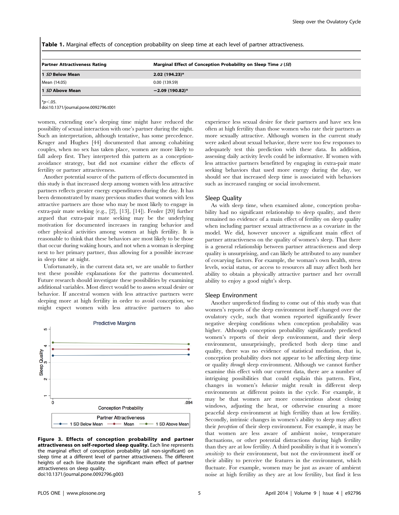Table 1. Marginal effects of conception probability on sleep time at each level of partner attractiveness.

| <b>Partner Attractiveness Rating</b> | Marginal Effect of Conception Probability on Sleep Time z (SE) |  |
|--------------------------------------|----------------------------------------------------------------|--|
| 1 SD Below Mean                      | 2.02 (194.23)*                                                 |  |
| Mean (14.05)                         | 0.00(139.59)                                                   |  |
| 1 SD Above Mean                      | $-2.09(190.82)$ *                                              |  |
|                                      |                                                                |  |

 $*n < 05$ 

doi:10.1371/journal.pone.0092796.t001

women, extending one's sleeping time might have reduced the possibility of sexual interaction with one's partner during the night. Such an interpretation, although tentative, has some precedence. Kruger and Hughes [44] documented that among cohabiting couples, when no sex has taken place, women are more likely to fall asleep first. They interpreted this pattern as a conceptionavoidance strategy, but did not examine either the effects of fertility or partner attractiveness.

Another potential source of the pattern of effects documented in this study is that increased sleep among women with less attractive partners reflects greater energy expenditures during the day. It has been demonstrated by many previous studies that women with less attractive partners are those who may be most likely to engage in extra-pair mate seeking (e.g., [2], [13], [14]). Fessler [20] further argued that extra-pair mate seeking may be the underlying motivation for documented increases in ranging behavior and other physical activities among women at high fertility. It is reasonable to think that these behaviors are most likely to be those that occur during waking hours, and not when a woman is sleeping next to her primary partner, thus allowing for a possible increase in sleep time at night.

Unfortunately, in the current data set, we are unable to further test these possible explanations for the patterns documented. Future research should investigate these possibilities by examining additional variables. Most direct would be to assess sexual desire or behavior. If ancestral women with less attractive partners were sleeping more at high fertility in order to avoid conception, we might expect women with less attractive partners to also



Figure 3. Effects of conception probability and partner attractiveness on self-reported sleep quality. Each line represents the marginal effect of conception probability (all non-significant) on sleep time at a different level of partner attractiveness. The different heights of each line illustrate the significant main effect of partner attractiveness on sleep quality.

doi:10.1371/journal.pone.0092796.g003

experience less sexual desire for their partners and have sex less often at high fertility than those women who rate their partners as more sexually attractive. Although women in the current study were asked about sexual behavior, there were too few responses to adequately test this prediction with these data. In addition, assessing daily activity levels could be informative. If women with less attractive partners benefitted by engaging in extra-pair mate seeking behaviors that used more energy during the day, we should see that increased sleep time is associated with behaviors such as increased ranging or social involvement.

### Sleep Quality

As with sleep time, when examined alone, conception probability had no significant relationship to sleep quality, and there remained no evidence of a main effect of fertility on sleep quality when including partner sexual attractiveness as a covariate in the model. We did, however uncover a significant main effect of partner attractiveness on the quality of women's sleep. That there is a general relationship between partner attractiveness and sleep quality is unsurprising, and can likely be attributed to any number of covarying factors. For example, the woman's own health, stress levels, social status, or access to resources all may affect both her ability to obtain a physically attractive partner and her overall ability to enjoy a good night's sleep.

#### Sleep Environment

Another unpredicted finding to come out of this study was that women's reports of the sleep environment itself changed over the ovulatory cycle, such that women reported significantly fewer negative sleeping conditions when conception probability was higher. Although conception probability significantly predicted women's reports of their sleep environment, and their sleep environment, unsurprisingly, predicted both sleep time and quality, there was no evidence of statistical mediation, that is, conception probability does not appear to be affecting sleep time or quality through sleep environment. Although we cannot further examine this effect with our current data, there are a number of intriguing possibilities that could explain this pattern. First, changes in women's behavior might result in different sleep environments at different points in the cycle. For example, it may be that women are more conscientious about closing windows, adjusting the heat, or otherwise ensuring a more peaceful sleep environment at high fertility than at low fertility. Secondly, intrinsic changes in women's ability to sleep may affect their perception of their sleep environment. For example, it may be that women are less aware of ambient noise, temperature fluctuations, or other potential distractions during high fertility than they are at low fertility. A third possibility is that it is women's sensitivity to their environment, but not the environment itself or their ability to perceive the features in the environment, which fluctuate. For example, women may be just as aware of ambient noise at high fertility as they are at low fertility, but find it less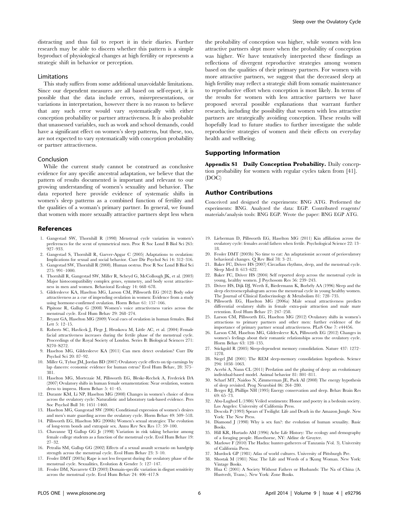distracting and thus fail to report it in their diaries. Further research may be able to discern whether this pattern is a simple byproduct of physiological changes at high fertility or represents a strategic shift in behavior or perception.

### Limitations

This study suffers from some additional unavoidable limitations. Since our dependent measures are all based on self-report, it is possible that the data include errors, misrepresentations, or variations in interpretation, however there is no reason to believe that any such error would vary systematically with either conception probability or partner attractiveness. It is also probable that unassessed variables, such as work and school demands, could have a significant effect on women's sleep patterns, but these, too, are not expected to vary systematically with conception probability or partner attractiveness.

### Conclusion

While the current study cannot be construed as conclusive evidence for any specific ancestral adaptation, we believe that the pattern of results documented is important and relevant to our growing understanding of women's sexuality and behavior. The data reported here provide evidence of systematic shifts in women's sleep patterns as a combined function of fertility and the qualities of a woman's primary partner. In general, we found that women with more sexually attractive partners slept less when

### References

- 1. Gangestad SW, Thornhill R (1998) Menstrual cycle variation in women's preferences for the scent of symmetrical men. Proc R Soc Lond B Biol Sci 265: 927–933.
- 2. Gangestad S, Thornhill R, Garver-Apgar C (2005) Adaptations to ovulation: Implications for sexual and social behavior. Curr Dir Psychol Sci 14: 312–316.
- 3. Gangestad SW, Thornhill R (2008). Human oestrus. Proc R Soc Lond B Biol Sci 275: 991–1000.
- 4. Thornhill R, Gangestad SW, Miller R, Scheyd G, McCollough JK, et al. (2003) Major histocompatibility complex genes, symmetry, and body scent attractiveness in men and women. Behavioral Ecology 14: 668–678.
- 5. Gildersleeve KA, Haselton MG, Larson CM, Pillsworth EG (2012) Body odor attractiveness as a cue of impending ovulation in women: Evidence from a study using hormone-confirmed ovulation. Horm Behav 61: 157–166.
- 6. Pipitone R, Gallup G (2008) Women's voice attractiveness varies across the menstrual cycle. Evol Hum Behav 29: 268–274.
- 7. Bryant GA, Haselton MG (2009) Vocal cues of ovulation in human females. Biol Lett 5: 12–15.
- 8. Roberts SC, Havlicek J, Flegr J, Hruskova M, Little AC, et al. (2004) Female facial attractiveness increases during the fertile phase of the menstrual cycle. Proceedings of the Royal Society of London. Series B: Biological Sciences 271: S270–S272.
- 9. Haselton MG, Gildersleeve KA (2011) Can men detect ovulation? Curr Dir Psychol Sci 20: 87–92.
- 10. Miller G, Tybur JM, Jordan BD (2007) Ovulatory cycle effects on tip earnings by lap dancers: economic evidence for human estrus? Evol Hum Behav, 28: 375– 381.
- 11. Haselton MG, Mortezaie M, Pillsworth EG, Bleske-Rechek A, Frederick DA (2007) Ovulatory shifts in human female ornamentation: Near ovulation, women dress to impress. Horm Behav 5: 41–45.
- 12. Durante KM, Li NP, Haselton MG (2008) Changes in women's choice of dress across the ovulatory cycle: Naturalistic and laboratory task-based evidence. Pers Soc Psychol Bull 34: 1451–1460.
- 13. Haselton MG, Gangestad SW (2006) Conditional expression of women's desires and men's mate guarding across the ovulatory cycle. Horm Behav 49: 509–518.
- 14. Pillsworth EG, Haselton MG (2006b) Women's sexual strategies: The evolution of long-term bonds and extrapair sex. Annu Rev Sex Res 17: 59–100.
- 15. Chavanne TJ Gallup GG Jr (1998) Variation in risk taking behavior among female college students as a function of the menstrual cycle. Evol Hum Behav 19: 27–32.
- 16. Petralia SM, Gallup GG (2002) Effects of a sexual assault scenario on handgrip strength across the menstrual cycle. Evol Hum Behav 23: 3–10.
- 17. Fessler DMT (2003a) Rape is not less frequent during the ovulatory phase of the menstrual cycle. Sexualities, Evolution & Gender 5: 127–147.
- 18. Fessler DM, Navarrete CD (2003) Domain-specific variation in disgust sensitivity across the menstrual cycle. Evol Hum Behav 24: 406–417.S

the probability of conception was higher, while women with less attractive partners slept more when the probability of conception was higher. We have tentatively interpreted these findings as reflections of divergent reproductive strategies among women based on the qualities of their primary partners. For women with more attractive partners, we suggest that the decreased sleep at high fertility may reflect a strategic shift from somatic maintenance to reproductive effort when conception is most likely. In terms of the results for women with less attractive partners we have proposed several possible explanations that warrant further research, including the possibility that women with less attractive partners are strategically avoiding conception. These results will hopefully lead to future studies to further investigate the subtle reproductive strategies of women and their effects on everyday health and wellbeing.

### Supporting Information

Appendix S1 Daily Conception Probability. Daily conception probability for women with regular cycles taken from [41]. (DOC)

## Author Contributions

Conceived and designed the experiments: BNG ATG. Performed the experiments: BNG. Analyzed the data: EGP. Contributed reagents/ materials/analysis tools: BNG EGP. Wrote the paper: BNG EGP ATG.

- 19. Lieberman D, Pillsworth EG, Haselton MG (2011) Kin affiliation across the ovulatory cycle: females avoid fathers when fertile. Psychological Science 22: 13– 18.
- 20. Fessler DMT (2003b) No time to eat: An adaptationist account of periovulatory behavioral changes. Q Rev Biol 78: 3–21.
- 21. Baker FC, Driver HS (2007) Circadian rhythms, sleep, and the menstrual cycle. Sleep Med 8: 613–622.
- 22. Baker FC, Driver HS (2004) Self reported sleep across the menstrual cycle in young, healthy women. J Psychosom Res 56: 239–243.
- 23. Driver HS, Dijk DJ, Werth E, Biedermann K, Borbély AA (1996) Sleep and the sleep electroencephalogram across the menstrual cycle in young healthy women. The Journal of Clinical Endocrinology & Metabolism 81: 728–735.
- 24. Pillsworth EG, Haselton MG (2006a) Male sexual attractiveness predicts differential ovulatory shifts in female extra-pair attraction and male mate retention. Evol Hum Behav 27: 247–258.
- 25. Larson CM, Pillsworth EG, Haselton MG (2012) Ovulatory shifts in women's attractions to primary partners and other men: further evidence of the importance of primary partner sexual attractiveness. PLoS One 7: e44456.
- 26. Larson CM, Haselton MG, Gildersleeve KA, Pillsworth EG (2012) Changes in women's feelings about their romantic relationships across the ovulatory cycle. Horm Behav 63: 128–135.
- 27. Stickgold R (2005) Sleep-dependent memory consolidation. Nature 437: 1272– 1278.
- 28. Siegel JM (2001) The REM sleep-memory consolidation hypothesis. Science 294: 1058–1063.
- 29. Acerbi A, Nunn CL (2011) Predation and the phasing of sleep: an evolutionary individual-based model. Animal behavior 81: 801–811.
- 30. Scharf MT, Naidoo N, Zimmerman JE, Pack AI (2008) The energy hypothesis of sleep revisited. Prog Neurobiol 86: 264–280.
- 31. Berger RJ, Phillips NH (1995) Energy conservation and sleep. Behav Brain Res 69: 65–73.
- 32. Abu-Lughod L (1986) Veiled sentiments: Honor and poetry in a bedouin society. Los Angeles: University of California Press.
- 33. Descola P (1993) Spears of Twilight: Life and Death in the Amazon Jungle. New York: The New Press.
- 34. Diamond J (1998) Why is sex fun?: the evolution of human sexuality. Basic Books.
- 35. Hill KR, Hurtado AM (1996) Ache Life History: The ecology and demography of a foraging people. Hawthorne, NY: Aldine de Gruyter.
- 36. Marlowe F (2010) The Hadza: hunter-gatherers of Tanzania (Vol. 3). University of California Press.
- 37. Murdock GP (1981) Atlas of world cultures. University of Pittsburgh Pre.
- 38. Shostak M (1981) Nisa: The Life and Words of a !Kung Woman. New York: Vintage Books.
- 39. Hua C (2001) A Society Without Fathers or Husbands: The Na of China (A. Hustvedt, Trans.). New York: Zone Books.